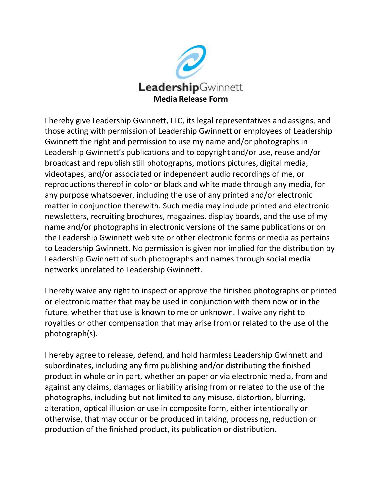

I hereby give Leadership Gwinnett, LLC, its legal representatives and assigns, and those acting with permission of Leadership Gwinnett or employees of Leadership Gwinnett the right and permission to use my name and/or photographs in Leadership Gwinnett's publications and to copyright and/or use, reuse and/or broadcast and republish still photographs, motions pictures, digital media, videotapes, and/or associated or independent audio recordings of me, or reproductions thereof in color or black and white made through any media, for any purpose whatsoever, including the use of any printed and/or electronic matter in conjunction therewith. Such media may include printed and electronic newsletters, recruiting brochures, magazines, display boards, and the use of my name and/or photographs in electronic versions of the same publications or on the Leadership Gwinnett web site or other electronic forms or media as pertains to Leadership Gwinnett. No permission is given nor implied for the distribution by Leadership Gwinnett of such photographs and names through social media networks unrelated to Leadership Gwinnett.

I hereby waive any right to inspect or approve the finished photographs or printed or electronic matter that may be used in conjunction with them now or in the future, whether that use is known to me or unknown. I waive any right to royalties or other compensation that may arise from or related to the use of the photograph(s).

I hereby agree to release, defend, and hold harmless Leadership Gwinnett and subordinates, including any firm publishing and/or distributing the finished product in whole or in part, whether on paper or via electronic media, from and against any claims, damages or liability arising from or related to the use of the photographs, including but not limited to any misuse, distortion, blurring, alteration, optical illusion or use in composite form, either intentionally or otherwise, that may occur or be produced in taking, processing, reduction or production of the finished product, its publication or distribution.